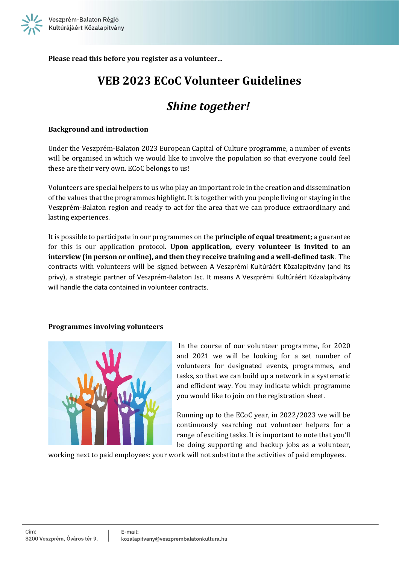

**Please read this before you register as a volunteer...**

# **VEB 2023 ECoC Volunteer Guidelines**

# *Shine together!*

### **Background and introduction**

Under the Veszprém-Balaton 2023 European Capital of Culture programme, a number of events will be organised in which we would like to involve the population so that everyone could feel these are their very own. ECoC belongs to us!

Volunteers are special helpers to us who play an important role in the creation and dissemination of the values that the programmes highlight. It is together with you people living or staying in the Veszprém-Balaton region and ready to act for the area that we can produce extraordinary and lasting experiences.

It is possible to participate in our programmes on the **principle of equal treatment;** a guarantee for this is our application protocol. **Upon application, every volunteer is invited to an interview (in person or online), and then they receive training and a well-defined task**. The contracts with volunteers will be signed between A Veszprémi Kultúráért Közalapítvány (and its privy), a strategic partner of Veszprém-Balaton Jsc. It means A Veszprémi Kultúráért Közalapítvány will handle the data contained in volunteer contracts.

#### **Programmes involving volunteers**



In the course of our volunteer programme, for 2020 and 2021 we will be looking for a set number of volunteers for designated events, programmes, and tasks, so that we can build up a network in a systematic and efficient way. You may indicate which programme you would like to join on the registration sheet.

Running up to the ECoC year, in 2022/2023 we will be continuously searching out volunteer helpers for a range of exciting tasks. It is important to note that you'll be doing supporting and backup jobs as a volunteer,

working next to paid employees: your work will not substitute the activities of paid employees.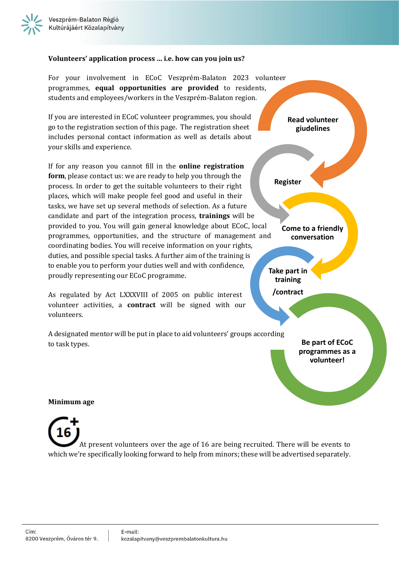## **Volunteers' application process … i.e. how can you join us?**

For your involvement in ECoC Veszprém-Balaton 2023 volunteer programmes, **equal opportunities are provided** to residents, students and employees/workers in the Veszprém-Balaton region. If you are interested in ECoC volunteer programmes, you should go to the registration section of this page. The registration sheet includes personal contact information as well as details about your skills and experience. If for any reason you cannot fill in the **online registration form**, please contact us: we are ready to help you through the process. In order to get the suitable volunteers to their right places, which will make people feel good and useful in their tasks, we have set up several methods of selection. As a future candidate and part of the integration process, **trainings** will be provided to you. You will gain general knowledge about ECoC, local programmes, opportunities, and the structure of management and coordinating bodies. You will receive information on your rights, duties, and possible special tasks. A further aim of the training is to enable you to perform your duties well and with confidence, proudly representing our ECoC programme. As regulated by Act LXXXVIII of 2005 on public interest volunteer activities, a **contract** will be signed with our volunteers. A designated mentor will be put in place to aid volunteers' groups according to task types. **Read volunteer giudelines Register Come to a friendly conversation Take part in training /contract Be part of ECoC programmes as a volunteer!**

# **Minimum age**

At present volunteers over the age of 16 are being recruited. There will be events to which we're specifically looking forward to help from minors; these will be advertised separately.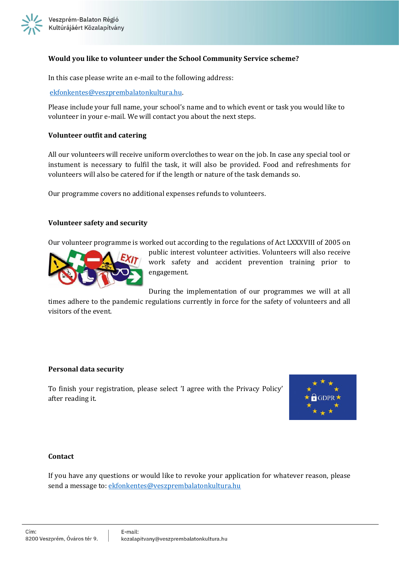## **Would you like to volunteer under the School Community Service scheme?**

In this case please write an e-mail to the following address:

#### [ekfonkentes@veszprembalatonkultura.hu.](mailto:ekfonkentes@veszprembalatonkultura.hu)

Please include your full name, your school's name and to which event or task you would like to volunteer in your e-mail. We will contact you about the next steps.

#### **Volunteer outfit and catering**

All our volunteers will receive uniform overclothes to wear on the job. In case any special tool or instument is necessary to fulfil the task, it will also be provided. Food and refreshments for volunteers will also be catered for if the length or nature of the task demands so.

Our programme covers no additional expenses refunds to volunteers.

#### **Volunteer safety and security**

Our volunteer programme is worked out according to the regulations of Act LXXXVIII of 2005 on



public interest volunteer activities. Volunteers will also receive work safety and accident prevention training prior to engagement.

During the implementation of our programmes we will at all

times adhere to the pandemic regulations currently in force for the safety of volunteers and all visitors of the event.

#### **Personal data security**

To finish your registration, please select 'I agree with the Privacy Policy' after reading it.



#### **Contact**

If you have any questions or would like to revoke your application for whatever reason, please send a message to: [ekfonkentes@veszprembalatonkultura.hu](mailto:ekfonkentes@veszprembalatonkultura.hu)